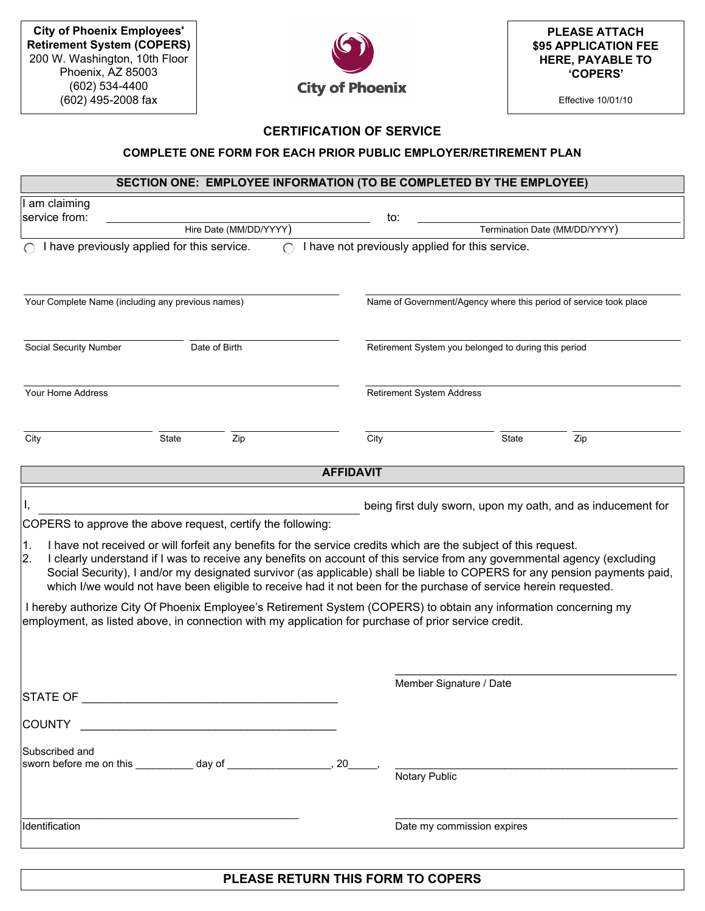

**PLEASE ATTACH \$95 APPLICATION FEE HERE, PAYABLE TO 'COPERS'**

Effective 10/01/10

## **CERTIFICATION OF SERVICE**

## **COMPLETE ONE FORM FOR EACH PRIOR PUBLIC EMPLOYER/RETIREMENT PLAN**

## **SECTION ONE: EMPLOYEE INFORMATION (TO BE COMPLETED BY THE EMPLOYEE)**

| am claiming                                                                                                                                                                                                                                                                                                                                                                                                                                                                                                                                                                                                                                                                                                                                                                                                                                                                                    |                  |                                                                   |                               |  |  |  |
|------------------------------------------------------------------------------------------------------------------------------------------------------------------------------------------------------------------------------------------------------------------------------------------------------------------------------------------------------------------------------------------------------------------------------------------------------------------------------------------------------------------------------------------------------------------------------------------------------------------------------------------------------------------------------------------------------------------------------------------------------------------------------------------------------------------------------------------------------------------------------------------------|------------------|-------------------------------------------------------------------|-------------------------------|--|--|--|
| service from:                                                                                                                                                                                                                                                                                                                                                                                                                                                                                                                                                                                                                                                                                                                                                                                                                                                                                  |                  | to:                                                               |                               |  |  |  |
| Hire Date (MM/DD/YYYY)                                                                                                                                                                                                                                                                                                                                                                                                                                                                                                                                                                                                                                                                                                                                                                                                                                                                         |                  |                                                                   | Termination Date (MM/DD/YYYY) |  |  |  |
| I have previously applied for this service.                                                                                                                                                                                                                                                                                                                                                                                                                                                                                                                                                                                                                                                                                                                                                                                                                                                    |                  | I have not previously applied for this service.                   |                               |  |  |  |
| Your Complete Name (including any previous names)                                                                                                                                                                                                                                                                                                                                                                                                                                                                                                                                                                                                                                                                                                                                                                                                                                              |                  | Name of Government/Agency where this period of service took place |                               |  |  |  |
| Social Security Number<br>Date of Birth                                                                                                                                                                                                                                                                                                                                                                                                                                                                                                                                                                                                                                                                                                                                                                                                                                                        |                  | Retirement System you belonged to during this period              |                               |  |  |  |
| Your Home Address                                                                                                                                                                                                                                                                                                                                                                                                                                                                                                                                                                                                                                                                                                                                                                                                                                                                              |                  | Retirement System Address                                         |                               |  |  |  |
| City<br>State<br>Zip                                                                                                                                                                                                                                                                                                                                                                                                                                                                                                                                                                                                                                                                                                                                                                                                                                                                           | City             | State                                                             | Zip                           |  |  |  |
|                                                                                                                                                                                                                                                                                                                                                                                                                                                                                                                                                                                                                                                                                                                                                                                                                                                                                                | <b>AFFIDAVIT</b> |                                                                   |                               |  |  |  |
| being first duly sworn, upon my oath, and as inducement for<br>COPERS to approve the above request, certify the following:<br>I have not received or will forfeit any benefits for the service credits which are the subject of this request.<br>1.<br>I clearly understand if I was to receive any benefits on account of this service from any governmental agency (excluding<br>2.<br>Social Security), I and/or my designated survivor (as applicable) shall be liable to COPERS for any pension payments paid,<br>which I/we would not have been eligible to receive had it not been for the purchase of service herein requested.<br>I hereby authorize City Of Phoenix Employee's Retirement System (COPERS) to obtain any information concerning my<br>employment, as listed above, in connection with my application for purchase of prior service credit.<br>Member Signature / Date |                  |                                                                   |                               |  |  |  |
| <b>STATE OF</b><br><b>COUNTY</b><br>Subscribed and<br>sworn before me on this ___________ day of ______________________, 20______,                                                                                                                                                                                                                                                                                                                                                                                                                                                                                                                                                                                                                                                                                                                                                             |                  | Notary Public                                                     |                               |  |  |  |
| Identification                                                                                                                                                                                                                                                                                                                                                                                                                                                                                                                                                                                                                                                                                                                                                                                                                                                                                 |                  | Date my commission expires                                        |                               |  |  |  |

## **PLEASE RETURN THIS FORM TO COPERS**